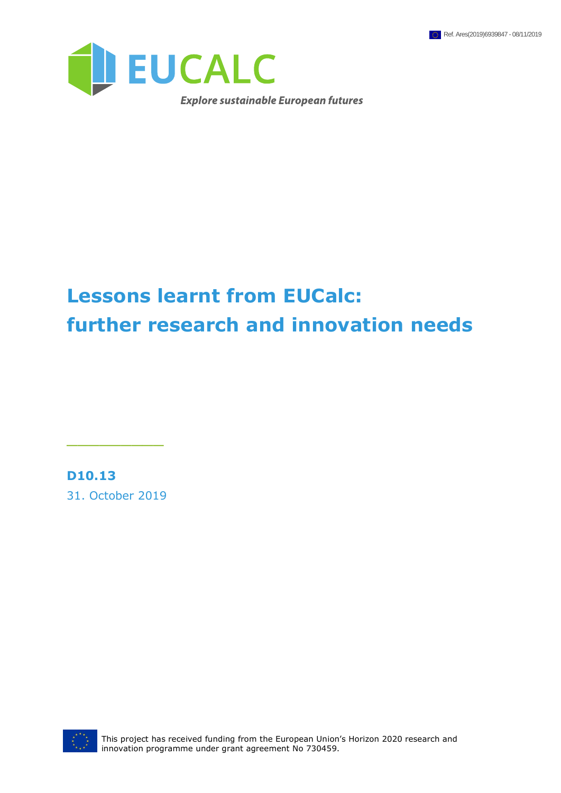

# **Lessons learnt from EUCalc: further research and innovation needs**

**D10.13**

31. October 2019

\_\_\_\_\_\_\_\_\_



This project has received funding from the European Union's Horizon 2020 research and innovation programme under grant agreement No 730459.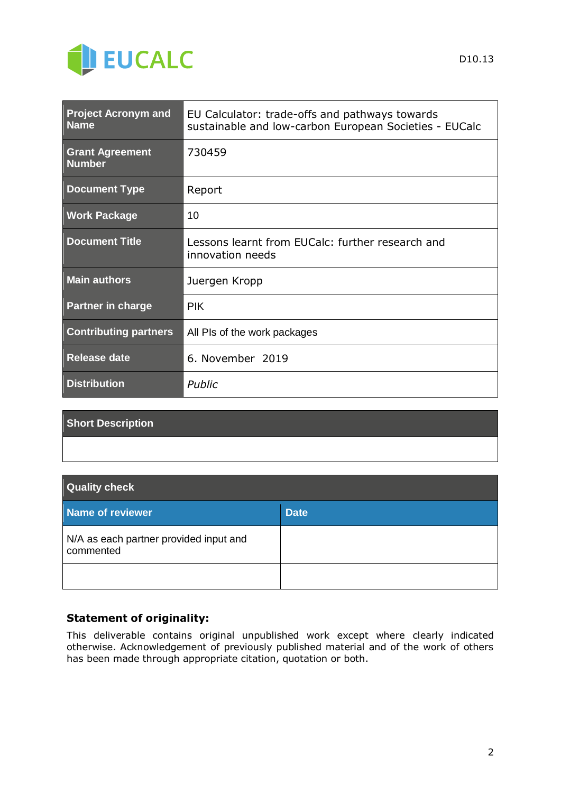

| <b>Project Acronym and</b><br><b>Name</b> | EU Calculator: trade-offs and pathways towards<br>sustainable and low-carbon European Societies - EUCalc |
|-------------------------------------------|----------------------------------------------------------------------------------------------------------|
| <b>Grant Agreement</b><br><b>Number</b>   | 730459                                                                                                   |
| <b>Document Type</b>                      | Report                                                                                                   |
| <b>Work Package</b>                       | 10                                                                                                       |
| <b>Document Title</b>                     | Lessons learnt from EUCalc: further research and<br>innovation needs                                     |
| <b>Main authors</b>                       | Juergen Kropp                                                                                            |
| <b>Partner in charge</b>                  | <b>PIK</b>                                                                                               |
| <b>Contributing partners</b>              | All PIs of the work packages                                                                             |
| <b>Release date</b>                       | 6. November 2019                                                                                         |
| <b>Distribution</b>                       | Public                                                                                                   |

#### **Short Description**

#### **Quality check**

| Name of reviewer                                    | <b>Date</b> |
|-----------------------------------------------------|-------------|
| N/A as each partner provided input and<br>commented |             |
|                                                     |             |

#### **Statement of originality:**

This deliverable contains original unpublished work except where clearly indicated otherwise. Acknowledgement of previously published material and of the work of others has been made through appropriate citation, quotation or both.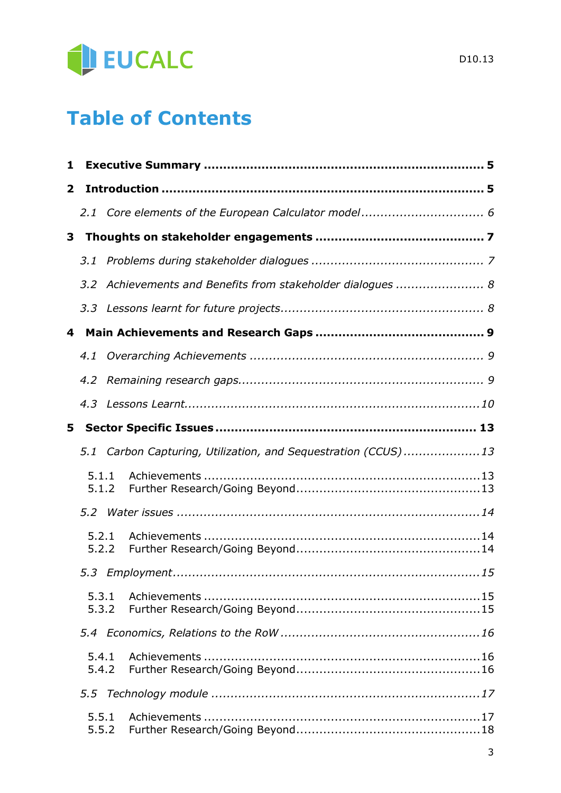

# **Table of Contents**

| 1              |                |                                                           |  |
|----------------|----------------|-----------------------------------------------------------|--|
| $\overline{2}$ |                |                                                           |  |
|                |                |                                                           |  |
| 3              |                |                                                           |  |
|                | 3.1            |                                                           |  |
|                | 3.2            | Achievements and Benefits from stakeholder dialogues  8   |  |
|                |                |                                                           |  |
| 4              |                |                                                           |  |
|                | 4.1            |                                                           |  |
|                | 4.2            |                                                           |  |
|                | 4.3            |                                                           |  |
| 5.             |                |                                                           |  |
|                | 5.1            | Carbon Capturing, Utilization, and Sequestration (CCUS)13 |  |
|                | 5.1.1<br>5.1.2 |                                                           |  |
|                | 5.2            |                                                           |  |
|                | 5.2.1<br>5.2.2 |                                                           |  |
|                |                |                                                           |  |
|                | 5.3.1<br>5.3.2 |                                                           |  |
|                | 5.4            |                                                           |  |
|                | 5.4.1<br>5.4.2 |                                                           |  |
|                |                |                                                           |  |
|                | 5.5.1<br>5.5.2 |                                                           |  |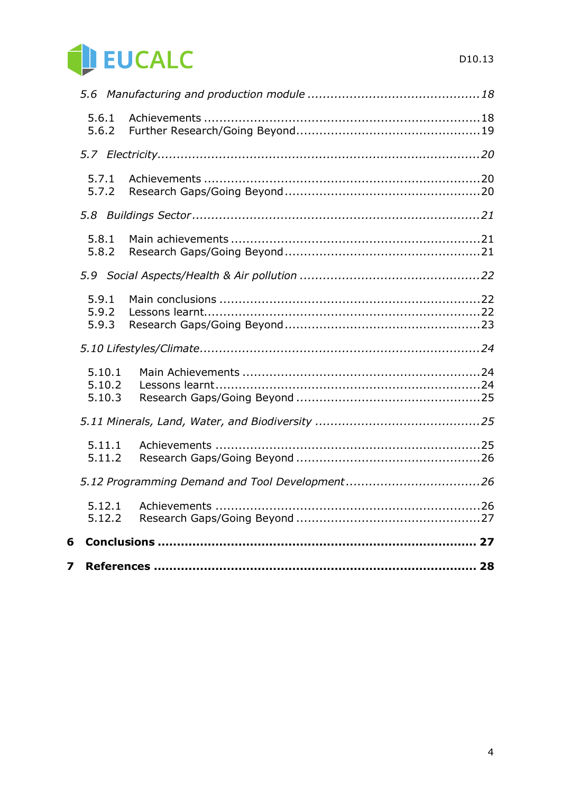

| 7 |                            |  |
|---|----------------------------|--|
| 6 |                            |  |
|   | 5.12.1<br>5.12.2           |  |
|   |                            |  |
|   | 5.11.1<br>5.11.2           |  |
|   |                            |  |
|   | 5.10.1<br>5.10.2<br>5.10.3 |  |
|   |                            |  |
|   | 5.9.1<br>5.9.2<br>5.9.3    |  |
|   | 5.9                        |  |
|   | 5.8.1<br>5.8.2             |  |
|   |                            |  |
|   | 5.7.1<br>5.7.2             |  |
|   |                            |  |
|   | 5.6.1<br>5.6.2             |  |
|   |                            |  |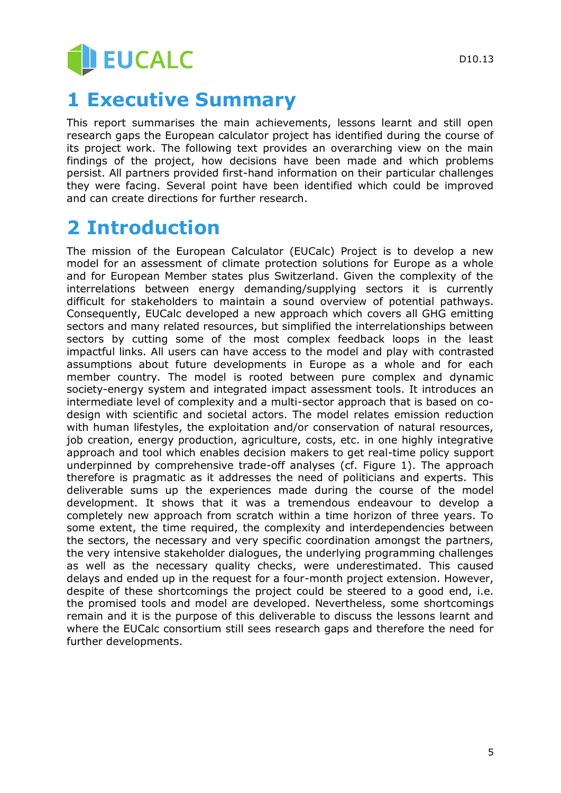# **JEUCALC**

# **1 Executive Summary**

This report summarises the main achievements, lessons learnt and still open research gaps the European calculator project has identified during the course of its project work. The following text provides an overarching view on the main findings of the project, how decisions have been made and which problems persist. All partners provided first-hand information on their particular challenges they were facing. Several point have been identified which could be improved and can create directions for further research.

# **2 Introduction**

The mission of the European Calculator (EUCalc) Project is to develop a new model for an assessment of climate protection solutions for Europe as a whole and for European Member states plus Switzerland. Given the complexity of the interrelations between energy demanding/supplying sectors it is currently difficult for stakeholders to maintain a sound overview of potential pathways. Consequently, EUCalc developed a new approach which covers all GHG emitting sectors and many related resources, but simplified the interrelationships between sectors by cutting some of the most complex feedback loops in the least impactful links. All users can have access to the model and play with contrasted assumptions about future developments in Europe as a whole and for each member country. The model is rooted between pure complex and dynamic society-energy system and integrated impact assessment tools. It introduces an intermediate level of complexity and a multi-sector approach that is based on codesign with scientific and societal actors. The model relates emission reduction with human lifestyles, the exploitation and/or conservation of natural resources, job creation, energy production, agriculture, costs, etc. in one highly integrative approach and tool which enables decision makers to get real-time policy support underpinned by comprehensive trade-off analyses (cf. Figure 1). The approach therefore is pragmatic as it addresses the need of politicians and experts. This deliverable sums up the experiences made during the course of the model development. It shows that it was a tremendous endeavour to develop a completely new approach from scratch within a time horizon of three years. To some extent, the time required, the complexity and interdependencies between the sectors, the necessary and very specific coordination amongst the partners, the very intensive stakeholder dialogues, the underlying programming challenges as well as the necessary quality checks, were underestimated. This caused delays and ended up in the request for a four-month project extension. However, despite of these shortcomings the project could be steered to a good end, i.e. the promised tools and model are developed. Nevertheless, some shortcomings remain and it is the purpose of this deliverable to discuss the lessons learnt and where the EUCalc consortium still sees research gaps and therefore the need for further developments.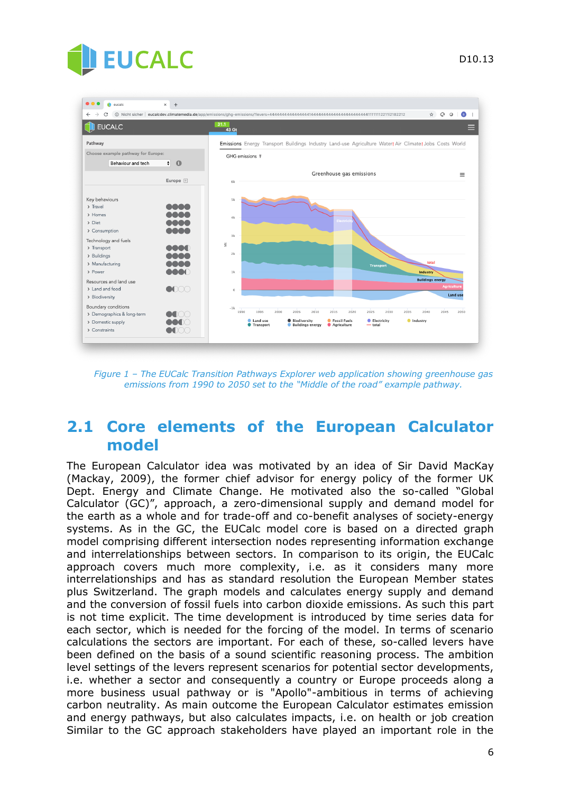

| $\bullet\bullet\bullet$<br>eucalc                                                                                                                         | $+$<br>$\times$                     | o<br>$\circ$<br>☆<br>$\left( \mathbf{B} \right)$                                                                                                                                                                                                                           |
|-----------------------------------------------------------------------------------------------------------------------------------------------------------|-------------------------------------|----------------------------------------------------------------------------------------------------------------------------------------------------------------------------------------------------------------------------------------------------------------------------|
| <b>EUCALC</b>                                                                                                                                             |                                     | 31.1<br>43 Gt                                                                                                                                                                                                                                                              |
| Pathway                                                                                                                                                   |                                     | Emissions Energy Transport Buildings Industry Land-use Agriculture Water! Air Climate! Jobs Costs World                                                                                                                                                                    |
| Choose example pathway for Europe:<br>Behaviour and tech                                                                                                  | $\left  \cdot \right $<br>$\bullet$ | GHG emissions \                                                                                                                                                                                                                                                            |
|                                                                                                                                                           | Europe +                            | Greenhouse gas emissions<br>$\equiv$<br>6k                                                                                                                                                                                                                                 |
| Key behaviours<br>> Travel<br>> Homes<br>$\sum$ Diet<br>> Consumption<br>Technology and fuels<br>> Transport<br>> Buildings<br>> Manufacturing<br>> Power | XX<br>XM.                           | 5k<br>4k<br>Electrici<br>3k<br>$\breve{\equiv}$<br>2k<br>total<br><b>Transport</b><br>1k<br>Industry                                                                                                                                                                       |
| Resources and land use                                                                                                                                    |                                     | <b>Buildings energy</b>                                                                                                                                                                                                                                                    |
| > Land and food<br>> Biodiversity                                                                                                                         | $\bullet$                           | <b>Agriculture</b><br>$\circ$<br><b>Land use</b>                                                                                                                                                                                                                           |
| Boundary conditions<br>> Demographics & long-term<br>> Domestic supply<br>> Constraints                                                                   | IXX<br>$\blacksquare$               | $-1k$<br>2020<br>1990<br>2010<br>2015<br>2025<br>2030<br>1995<br>2000<br>2005<br>2035<br>2040<br>2045<br>2050<br>Land use<br>G Fossil Fuels<br><b>Electricity</b><br><b>O</b> Industry<br>Biodiversity<br><b>Transport</b><br>Agriculture<br>Buildings energy<br>$-$ total |

*Figure 1 – The EUCalc Transition Pathways Explorer web application showing greenhouse gas emissions from 1990 to 2050 set to the "Middle of the road" example pathway.*

## **2.1 Core elements of the European Calculator model**

The European Calculator idea was motivated by an idea of Sir David MacKay (Mackay, 2009), the former chief advisor for energy policy of the former UK Dept. Energy and Climate Change. He motivated also the so-called "Global Calculator (GC)", approach, a zero-dimensional supply and demand model for the earth as a whole and for trade-off and co-benefit analyses of society-energy systems. As in the GC, the EUCalc model core is based on a directed graph model comprising different intersection nodes representing information exchange and interrelationships between sectors. In comparison to its origin, the EUCalc approach covers much more complexity, i.e. as it considers many more interrelationships and has as standard resolution the European Member states plus Switzerland. The graph models and calculates energy supply and demand and the conversion of fossil fuels into carbon dioxide emissions. As such this part is not time explicit. The time development is introduced by time series data for each sector, which is needed for the forcing of the model. In terms of scenario calculations the sectors are important. For each of these, so-called levers have been defined on the basis of a sound scientific reasoning process. The ambition level settings of the levers represent scenarios for potential sector developments, i.e. whether a sector and consequently a country or Europe proceeds along a more business usual pathway or is "Apollo"-ambitious in terms of achieving carbon neutrality. As main outcome the European Calculator estimates emission and energy pathways, but also calculates impacts, i.e. on health or job creation Similar to the GC approach stakeholders have played an important role in the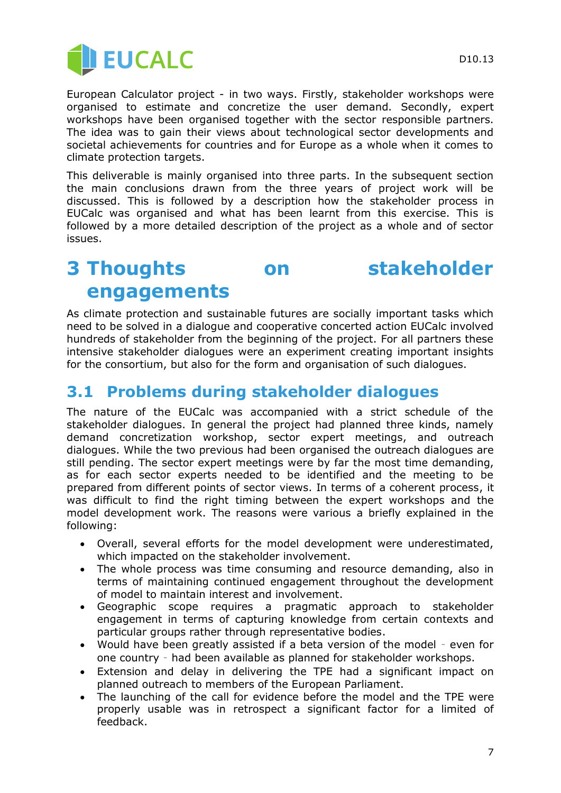

European Calculator project - in two ways. Firstly, stakeholder workshops were organised to estimate and concretize the user demand. Secondly, expert workshops have been organised together with the sector responsible partners. The idea was to gain their views about technological sector developments and societal achievements for countries and for Europe as a whole when it comes to climate protection targets.

This deliverable is mainly organised into three parts. In the subsequent section the main conclusions drawn from the three years of project work will be discussed. This is followed by a description how the stakeholder process in EUCalc was organised and what has been learnt from this exercise. This is followed by a more detailed description of the project as a whole and of sector issues.

# **3 Thoughts on stakeholder engagements**

As climate protection and sustainable futures are socially important tasks which need to be solved in a dialogue and cooperative concerted action EUCalc involved hundreds of stakeholder from the beginning of the project. For all partners these intensive stakeholder dialogues were an experiment creating important insights for the consortium, but also for the form and organisation of such dialogues.

# **3.1 Problems during stakeholder dialogues**

The nature of the EUCalc was accompanied with a strict schedule of the stakeholder dialogues. In general the project had planned three kinds, namely demand concretization workshop, sector expert meetings, and outreach dialogues. While the two previous had been organised the outreach dialogues are still pending. The sector expert meetings were by far the most time demanding, as for each sector experts needed to be identified and the meeting to be prepared from different points of sector views. In terms of a coherent process, it was difficult to find the right timing between the expert workshops and the model development work. The reasons were various a briefly explained in the following:

- Overall, several efforts for the model development were underestimated, which impacted on the stakeholder involvement.
- The whole process was time consuming and resource demanding, also in terms of maintaining continued engagement throughout the development of model to maintain interest and involvement.
- Geographic scope requires a pragmatic approach to stakeholder engagement in terms of capturing knowledge from certain contexts and particular groups rather through representative bodies.
- Would have been greatly assisted if a beta version of the model even for one country – had been available as planned for stakeholder workshops.
- Extension and delay in delivering the TPE had a significant impact on planned outreach to members of the European Parliament.
- The launching of the call for evidence before the model and the TPE were properly usable was in retrospect a significant factor for a limited of feedback.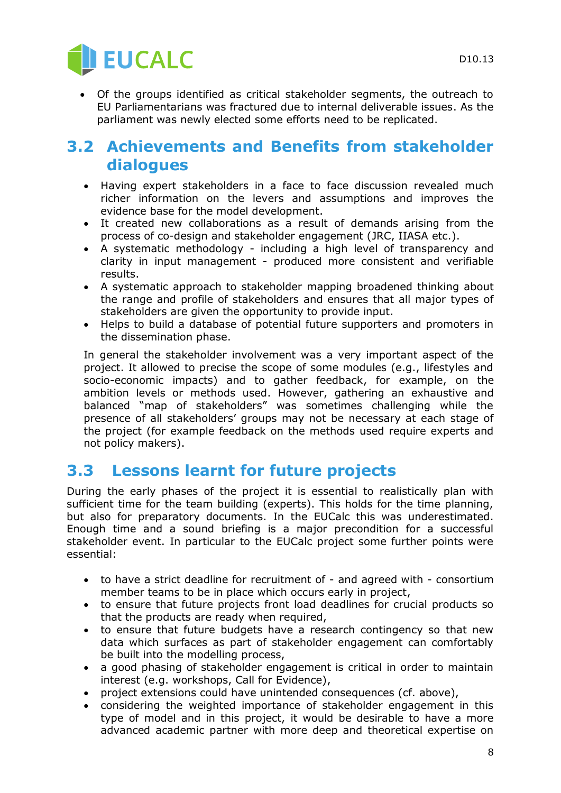

 Of the groups identified as critical stakeholder segments, the outreach to EU Parliamentarians was fractured due to internal deliverable issues. As the parliament was newly elected some efforts need to be replicated.

## **3.2 Achievements and Benefits from stakeholder dialogues**

- Having expert stakeholders in a face to face discussion revealed much richer information on the levers and assumptions and improves the evidence base for the model development.
- It created new collaborations as a result of demands arising from the process of co-design and stakeholder engagement (JRC, IIASA etc.).
- A systematic methodology including a high level of transparency and clarity in input management - produced more consistent and verifiable results.
- A systematic approach to stakeholder mapping broadened thinking about the range and profile of stakeholders and ensures that all major types of stakeholders are given the opportunity to provide input.
- Helps to build a database of potential future supporters and promoters in the dissemination phase.

In general the stakeholder involvement was a very important aspect of the project. It allowed to precise the scope of some modules (e.g., lifestyles and socio-economic impacts) and to gather feedback, for example, on the ambition levels or methods used. However, gathering an exhaustive and balanced "map of stakeholders" was sometimes challenging while the presence of all stakeholders' groups may not be necessary at each stage of the project (for example feedback on the methods used require experts and not policy makers).

# **3.3 Lessons learnt for future projects**

During the early phases of the project it is essential to realistically plan with sufficient time for the team building (experts). This holds for the time planning, but also for preparatory documents. In the EUCalc this was underestimated. Enough time and a sound briefing is a major precondition for a successful stakeholder event. In particular to the EUCalc project some further points were essential:

- to have a strict deadline for recruitment of and agreed with consortium member teams to be in place which occurs early in project,
- to ensure that future projects front load deadlines for crucial products so that the products are ready when required,
- to ensure that future budgets have a research contingency so that new data which surfaces as part of stakeholder engagement can comfortably be built into the modelling process,
- a good phasing of stakeholder engagement is critical in order to maintain interest (e.g. workshops, Call for Evidence),
- project extensions could have unintended consequences (cf. above),
- considering the weighted importance of stakeholder engagement in this type of model and in this project, it would be desirable to have a more advanced academic partner with more deep and theoretical expertise on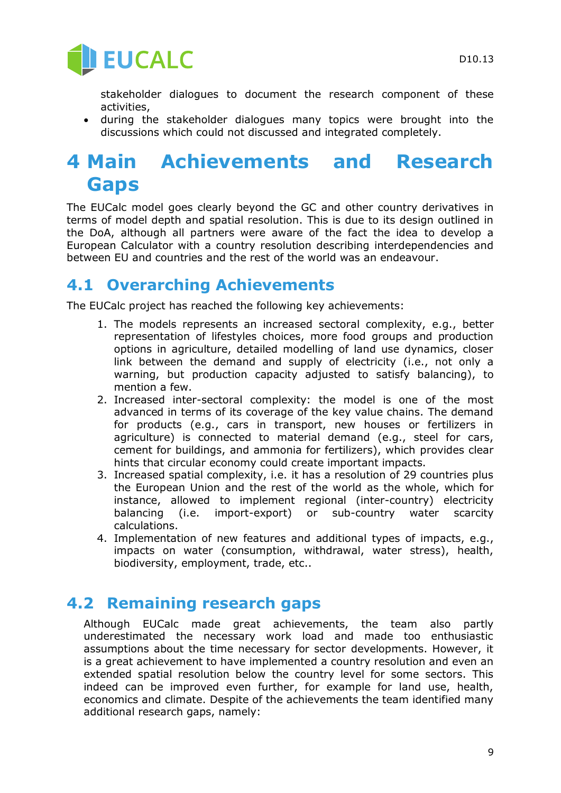

stakeholder dialogues to document the research component of these activities,

 during the stakeholder dialogues many topics were brought into the discussions which could not discussed and integrated completely.

# **4 Main Achievements and Research Gaps**

The EUCalc model goes clearly beyond the GC and other country derivatives in terms of model depth and spatial resolution. This is due to its design outlined in the DoA, although all partners were aware of the fact the idea to develop a European Calculator with a country resolution describing interdependencies and between EU and countries and the rest of the world was an endeavour.

## **4.1 Overarching Achievements**

The EUCalc project has reached the following key achievements:

- 1. The models represents an increased sectoral complexity, e.g., better representation of lifestyles choices, more food groups and production options in agriculture, detailed modelling of land use dynamics, closer link between the demand and supply of electricity (i.e., not only a warning, but production capacity adjusted to satisfy balancing), to mention a few.
- 2. Increased inter-sectoral complexity: the model is one of the most advanced in terms of its coverage of the key value chains. The demand for products (e.g., cars in transport, new houses or fertilizers in agriculture) is connected to material demand (e.g., steel for cars, cement for buildings, and ammonia for fertilizers), which provides clear hints that circular economy could create important impacts.
- 3. Increased spatial complexity, i.e. it has a resolution of 29 countries plus the European Union and the rest of the world as the whole, which for instance, allowed to implement regional (inter-country) electricity balancing (i.e. import-export) or sub-country water scarcity calculations.
- 4. Implementation of new features and additional types of impacts, e.g., impacts on water (consumption, withdrawal, water stress), health, biodiversity, employment, trade, etc..

## **4.2 Remaining research gaps**

Although EUCalc made great achievements, the team also partly underestimated the necessary work load and made too enthusiastic assumptions about the time necessary for sector developments. However, it is a great achievement to have implemented a country resolution and even an extended spatial resolution below the country level for some sectors. This indeed can be improved even further, for example for land use, health, economics and climate. Despite of the achievements the team identified many additional research gaps, namely: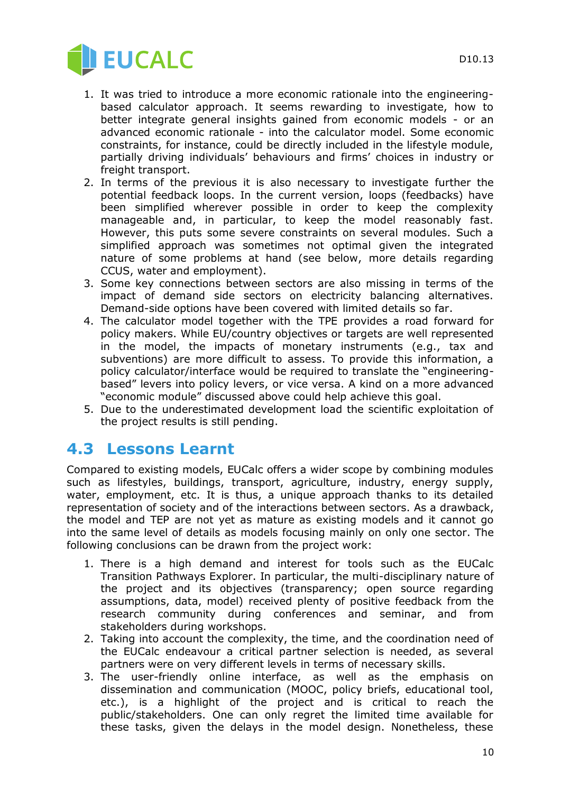

- 1. It was tried to introduce a more economic rationale into the engineeringbased calculator approach. It seems rewarding to investigate, how to better integrate general insights gained from economic models - or an advanced economic rationale - into the calculator model. Some economic constraints, for instance, could be directly included in the lifestyle module, partially driving individuals' behaviours and firms' choices in industry or freight transport.
- 2. In terms of the previous it is also necessary to investigate further the potential feedback loops. In the current version, loops (feedbacks) have been simplified wherever possible in order to keep the complexity manageable and, in particular, to keep the model reasonably fast. However, this puts some severe constraints on several modules. Such a simplified approach was sometimes not optimal given the integrated nature of some problems at hand (see below, more details regarding CCUS, water and employment).
- 3. Some key connections between sectors are also missing in terms of the impact of demand side sectors on electricity balancing alternatives. Demand-side options have been covered with limited details so far.
- 4. The calculator model together with the TPE provides a road forward for policy makers. While EU/country objectives or targets are well represented in the model, the impacts of monetary instruments (e.g., tax and subventions) are more difficult to assess. To provide this information, a policy calculator/interface would be required to translate the "engineeringbased" levers into policy levers, or vice versa. A kind on a more advanced "economic module" discussed above could help achieve this goal.
- 5. Due to the underestimated development load the scientific exploitation of the project results is still pending.

## **4.3 Lessons Learnt**

Compared to existing models, EUCalc offers a wider scope by combining modules such as lifestyles, buildings, transport, agriculture, industry, energy supply, water, employment, etc. It is thus, a unique approach thanks to its detailed representation of society and of the interactions between sectors. As a drawback, the model and TEP are not yet as mature as existing models and it cannot go into the same level of details as models focusing mainly on only one sector. The following conclusions can be drawn from the project work:

- 1. There is a high demand and interest for tools such as the EUCalc Transition Pathways Explorer. In particular, the multi-disciplinary nature of the project and its objectives (transparency; open source regarding assumptions, data, model) received plenty of positive feedback from the research community during conferences and seminar, and from stakeholders during workshops.
- 2. Taking into account the complexity, the time, and the coordination need of the EUCalc endeavour a critical partner selection is needed, as several partners were on very different levels in terms of necessary skills.
- 3. The user-friendly online interface, as well as the emphasis on dissemination and communication (MOOC, policy briefs, educational tool, etc.), is a highlight of the project and is critical to reach the public/stakeholders. One can only regret the limited time available for these tasks, given the delays in the model design. Nonetheless, these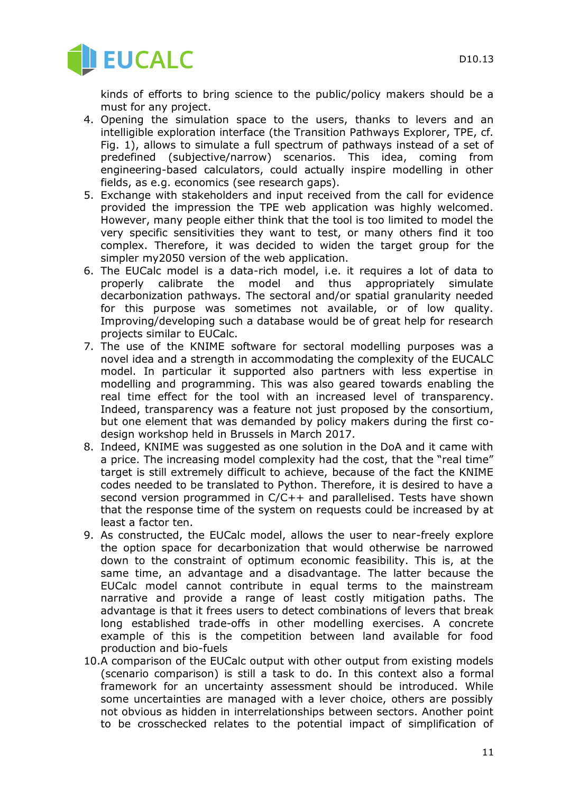

kinds of efforts to bring science to the public/policy makers should be a must for any project.

- 4. Opening the simulation space to the users, thanks to levers and an intelligible exploration interface (the Transition Pathways Explorer, TPE, cf. Fig. 1), allows to simulate a full spectrum of pathways instead of a set of predefined (subjective/narrow) scenarios. This idea, coming from engineering-based calculators, could actually inspire modelling in other fields, as e.g. economics (see research gaps).
- 5. Exchange with stakeholders and input received from the call for evidence provided the impression the TPE web application was highly welcomed. However, many people either think that the tool is too limited to model the very specific sensitivities they want to test, or many others find it too complex. Therefore, it was decided to widen the target group for the simpler my2050 version of the web application.
- 6. The EUCalc model is a data-rich model, i.e. it requires a lot of data to properly calibrate the model and thus appropriately simulate decarbonization pathways. The sectoral and/or spatial granularity needed for this purpose was sometimes not available, or of low quality. Improving/developing such a database would be of great help for research projects similar to EUCalc.
- 7. The use of the KNIME software for sectoral modelling purposes was a novel idea and a strength in accommodating the complexity of the EUCALC model. In particular it supported also partners with less expertise in modelling and programming. This was also geared towards enabling the real time effect for the tool with an increased level of transparency. Indeed, transparency was a feature not just proposed by the consortium, but one element that was demanded by policy makers during the first codesign workshop held in Brussels in March 2017.
- 8. Indeed, KNIME was suggested as one solution in the DoA and it came with a price. The increasing model complexity had the cost, that the "real time" target is still extremely difficult to achieve, because of the fact the KNIME codes needed to be translated to Python. Therefore, it is desired to have a second version programmed in C/C++ and parallelised. Tests have shown that the response time of the system on requests could be increased by at least a factor ten.
- 9. As constructed, the EUCalc model, allows the user to near-freely explore the option space for decarbonization that would otherwise be narrowed down to the constraint of optimum economic feasibility. This is, at the same time, an advantage and a disadvantage. The latter because the EUCalc model cannot contribute in equal terms to the mainstream narrative and provide a range of least costly mitigation paths. The advantage is that it frees users to detect combinations of levers that break long established trade-offs in other modelling exercises. A concrete example of this is the competition between land available for food production and bio-fuels
- 10.A comparison of the EUCalc output with other output from existing models (scenario comparison) is still a task to do. In this context also a formal framework for an uncertainty assessment should be introduced. While some uncertainties are managed with a lever choice, others are possibly not obvious as hidden in interrelationships between sectors. Another point to be crosschecked relates to the potential impact of simplification of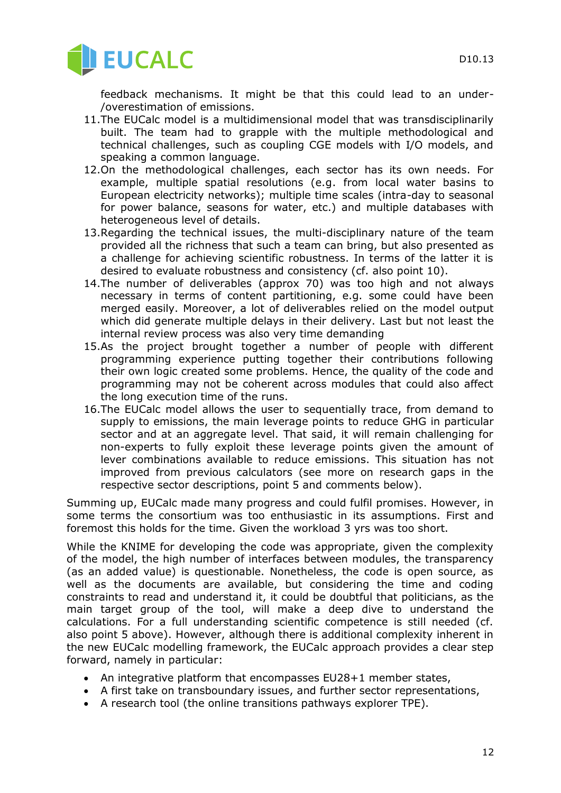

feedback mechanisms. It might be that this could lead to an under- /overestimation of emissions.

- 11.The EUCalc model is a multidimensional model that was transdisciplinarily built. The team had to grapple with the multiple methodological and technical challenges, such as coupling CGE models with I/O models, and speaking a common language.
- 12.On the methodological challenges, each sector has its own needs. For example, multiple spatial resolutions (e.g. from local water basins to European electricity networks); multiple time scales (intra-day to seasonal for power balance, seasons for water, etc.) and multiple databases with heterogeneous level of details.
- 13.Regarding the technical issues, the multi-disciplinary nature of the team provided all the richness that such a team can bring, but also presented as a challenge for achieving scientific robustness. In terms of the latter it is desired to evaluate robustness and consistency (cf. also point 10).
- 14.The number of deliverables (approx 70) was too high and not always necessary in terms of content partitioning, e.g. some could have been merged easily. Moreover, a lot of deliverables relied on the model output which did generate multiple delays in their delivery. Last but not least the internal review process was also very time demanding
- 15.As the project brought together a number of people with different programming experience putting together their contributions following their own logic created some problems. Hence, the quality of the code and programming may not be coherent across modules that could also affect the long execution time of the runs.
- 16.The EUCalc model allows the user to sequentially trace, from demand to supply to emissions, the main leverage points to reduce GHG in particular sector and at an aggregate level. That said, it will remain challenging for non-experts to fully exploit these leverage points given the amount of lever combinations available to reduce emissions. This situation has not improved from previous calculators (see more on research gaps in the respective sector descriptions, point 5 and comments below).

Summing up, EUCalc made many progress and could fulfil promises. However, in some terms the consortium was too enthusiastic in its assumptions. First and foremost this holds for the time. Given the workload 3 yrs was too short.

While the KNIME for developing the code was appropriate, given the complexity of the model, the high number of interfaces between modules, the transparency (as an added value) is questionable. Nonetheless, the code is open source, as well as the documents are available, but considering the time and coding constraints to read and understand it, it could be doubtful that politicians, as the main target group of the tool, will make a deep dive to understand the calculations. For a full understanding scientific competence is still needed (cf. also point 5 above). However, although there is additional complexity inherent in the new EUCalc modelling framework, the EUCalc approach provides a clear step forward, namely in particular:

- An integrative platform that encompasses EU28+1 member states,
- A first take on transboundary issues, and further sector representations,
- A research tool (the online transitions pathways explorer TPE).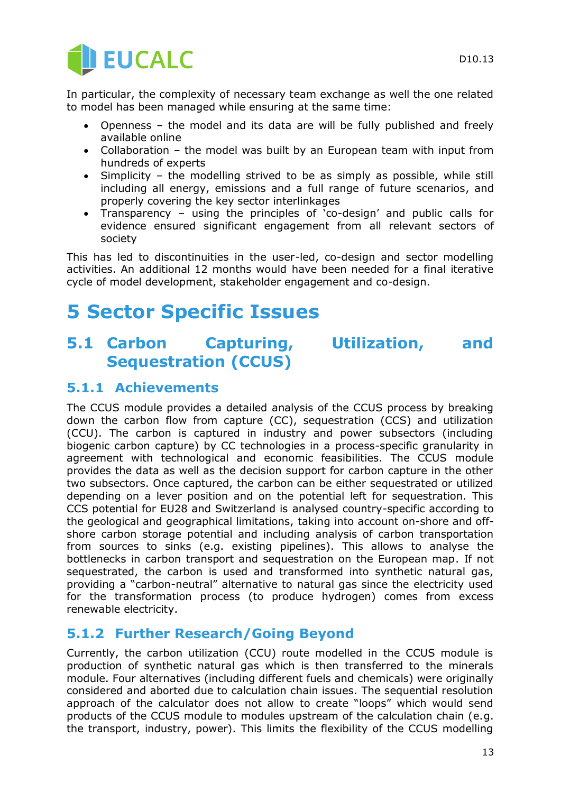

In particular, the complexity of necessary team exchange as well the one related to model has been managed while ensuring at the same time:

- Openness the model and its data are will be fully published and freely available online
- Collaboration the model was built by an European team with input from hundreds of experts
- Simplicity the modelling strived to be as simply as possible, while still including all energy, emissions and a full range of future scenarios, and properly covering the key sector interlinkages
- Transparency using the principles of  $\overline{c}$  co-design' and public calls for evidence ensured significant engagement from all relevant sectors of society

This has led to discontinuities in the user-led, co-design and sector modelling activities. An additional 12 months would have been needed for a final iterative cycle of model development, stakeholder engagement and co-design.

# **5 Sector Specific Issues**

## **5.1 Carbon Capturing, Utilization, and Sequestration (CCUS)**

#### **5.1.1 Achievements**

The CCUS module provides a detailed analysis of the CCUS process by breaking down the carbon flow from capture (CC), sequestration (CCS) and utilization (CCU). The carbon is captured in industry and power subsectors (including biogenic carbon capture) by CC technologies in a process-specific granularity in agreement with technological and economic feasibilities. The CCUS module provides the data as well as the decision support for carbon capture in the other two subsectors. Once captured, the carbon can be either sequestrated or utilized depending on a lever position and on the potential left for sequestration. This CCS potential for EU28 and Switzerland is analysed country-specific according to the geological and geographical limitations, taking into account on-shore and offshore carbon storage potential and including analysis of carbon transportation from sources to sinks (e.g. existing pipelines). This allows to analyse the bottlenecks in carbon transport and sequestration on the European map. If not sequestrated, the carbon is used and transformed into synthetic natural gas, providing a "carbon-neutral" alternative to natural gas since the electricity used for the transformation process (to produce hydrogen) comes from excess renewable electricity.

#### **5.1.2 Further Research/Going Beyond**

Currently, the carbon utilization (CCU) route modelled in the CCUS module is production of synthetic natural gas which is then transferred to the minerals module. Four alternatives (including different fuels and chemicals) were originally considered and aborted due to calculation chain issues. The sequential resolution approach of the calculator does not allow to create "loops" which would send products of the CCUS module to modules upstream of the calculation chain (e.g. the transport, industry, power). This limits the flexibility of the CCUS modelling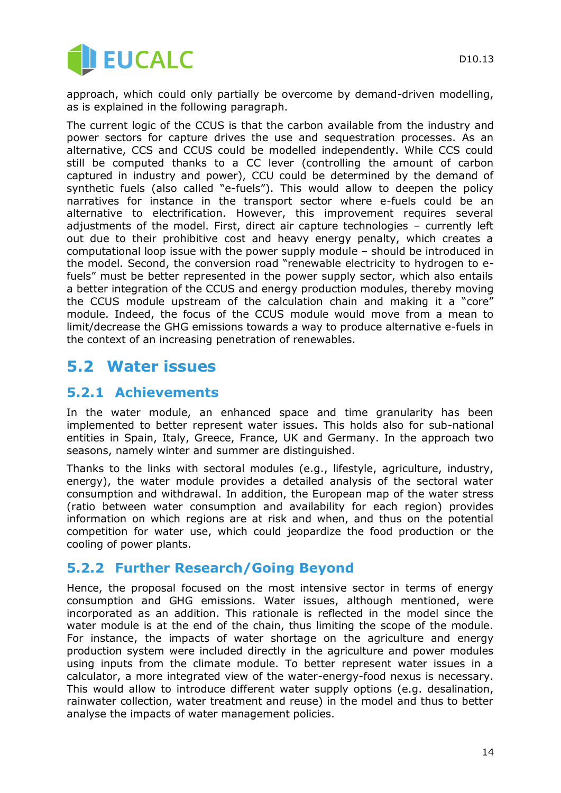

approach, which could only partially be overcome by demand-driven modelling, as is explained in the following paragraph.

The current logic of the CCUS is that the carbon available from the industry and power sectors for capture drives the use and sequestration processes. As an alternative, CCS and CCUS could be modelled independently. While CCS could still be computed thanks to a CC lever (controlling the amount of carbon captured in industry and power), CCU could be determined by the demand of synthetic fuels (also called "e-fuels"). This would allow to deepen the policy narratives for instance in the transport sector where e-fuels could be an alternative to electrification. However, this improvement requires several adjustments of the model. First, direct air capture technologies – currently left out due to their prohibitive cost and heavy energy penalty, which creates a computational loop issue with the power supply module – should be introduced in the model. Second, the conversion road "renewable electricity to hydrogen to efuels" must be better represented in the power supply sector, which also entails a better integration of the CCUS and energy production modules, thereby moving the CCUS module upstream of the calculation chain and making it a "core" module. Indeed, the focus of the CCUS module would move from a mean to limit/decrease the GHG emissions towards a way to produce alternative e-fuels in the context of an increasing penetration of renewables.

## **5.2 Water issues**

#### **5.2.1 Achievements**

In the water module, an enhanced space and time granularity has been implemented to better represent water issues. This holds also for sub-national entities in Spain, Italy, Greece, France, UK and Germany. In the approach two seasons, namely winter and summer are distinguished.

Thanks to the links with sectoral modules (e.g., lifestyle, agriculture, industry, energy), the water module provides a detailed analysis of the sectoral water consumption and withdrawal. In addition, the European map of the water stress (ratio between water consumption and availability for each region) provides information on which regions are at risk and when, and thus on the potential competition for water use, which could jeopardize the food production or the cooling of power plants.

#### **5.2.2 Further Research/Going Beyond**

Hence, the proposal focused on the most intensive sector in terms of energy consumption and GHG emissions. Water issues, although mentioned, were incorporated as an addition. This rationale is reflected in the model since the water module is at the end of the chain, thus limiting the scope of the module. For instance, the impacts of water shortage on the agriculture and energy production system were included directly in the agriculture and power modules using inputs from the climate module. To better represent water issues in a calculator, a more integrated view of the water-energy-food nexus is necessary. This would allow to introduce different water supply options (e.g. desalination, rainwater collection, water treatment and reuse) in the model and thus to better analyse the impacts of water management policies.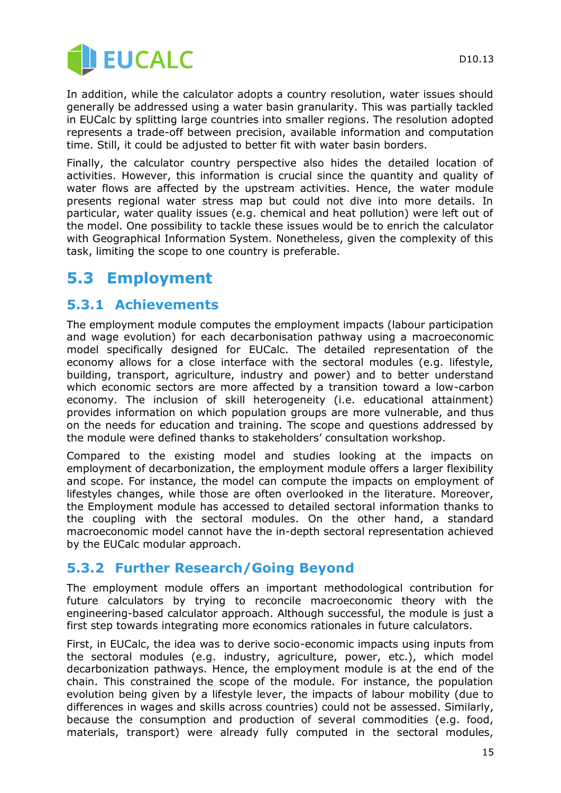

In addition, while the calculator adopts a country resolution, water issues should generally be addressed using a water basin granularity. This was partially tackled in EUCalc by splitting large countries into smaller regions. The resolution adopted represents a trade-off between precision, available information and computation time. Still, it could be adjusted to better fit with water basin borders.

Finally, the calculator country perspective also hides the detailed location of activities. However, this information is crucial since the quantity and quality of water flows are affected by the upstream activities. Hence, the water module presents regional water stress map but could not dive into more details. In particular, water quality issues (e.g. chemical and heat pollution) were left out of the model. One possibility to tackle these issues would be to enrich the calculator with Geographical Information System. Nonetheless, given the complexity of this task, limiting the scope to one country is preferable.

## **5.3 Employment**

#### **5.3.1 Achievements**

The employment module computes the employment impacts (labour participation and wage evolution) for each decarbonisation pathway using a macroeconomic model specifically designed for EUCalc. The detailed representation of the economy allows for a close interface with the sectoral modules (e.g. lifestyle, building, transport, agriculture, industry and power) and to better understand which economic sectors are more affected by a transition toward a low-carbon economy. The inclusion of skill heterogeneity (i.e. educational attainment) provides information on which population groups are more vulnerable, and thus on the needs for education and training. The scope and questions addressed by the module were defined thanks to stakeholders' consultation workshop.

Compared to the existing model and studies looking at the impacts on employment of decarbonization, the employment module offers a larger flexibility and scope. For instance, the model can compute the impacts on employment of lifestyles changes, while those are often overlooked in the literature. Moreover, the Employment module has accessed to detailed sectoral information thanks to the coupling with the sectoral modules. On the other hand, a standard macroeconomic model cannot have the in-depth sectoral representation achieved by the EUCalc modular approach.

#### **5.3.2 Further Research/Going Beyond**

The employment module offers an important methodological contribution for future calculators by trying to reconcile macroeconomic theory with the engineering-based calculator approach. Although successful, the module is just a first step towards integrating more economics rationales in future calculators.

First, in EUCalc, the idea was to derive socio-economic impacts using inputs from the sectoral modules (e.g. industry, agriculture, power, etc.), which model decarbonization pathways. Hence, the employment module is at the end of the chain. This constrained the scope of the module. For instance, the population evolution being given by a lifestyle lever, the impacts of labour mobility (due to differences in wages and skills across countries) could not be assessed. Similarly, because the consumption and production of several commodities (e.g. food, materials, transport) were already fully computed in the sectoral modules,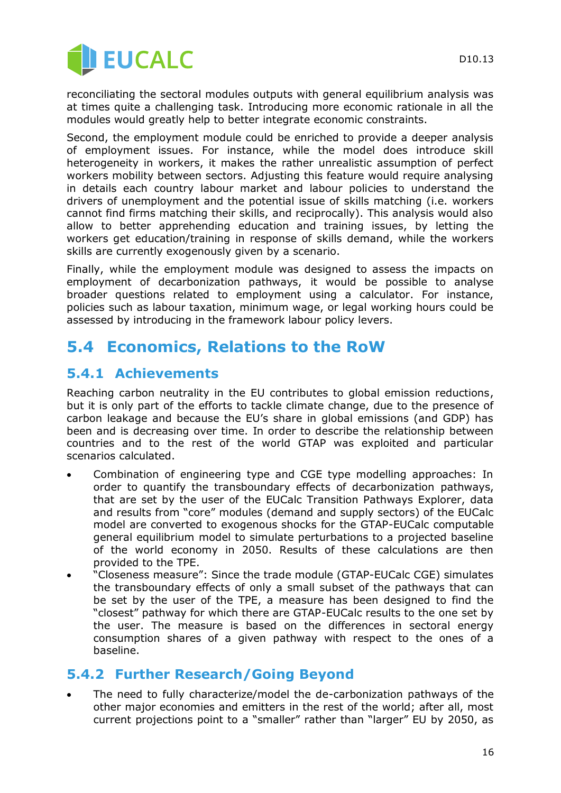

reconciliating the sectoral modules outputs with general equilibrium analysis was at times quite a challenging task. Introducing more economic rationale in all the modules would greatly help to better integrate economic constraints.

Second, the employment module could be enriched to provide a deeper analysis of employment issues. For instance, while the model does introduce skill heterogeneity in workers, it makes the rather unrealistic assumption of perfect workers mobility between sectors. Adjusting this feature would require analysing in details each country labour market and labour policies to understand the drivers of unemployment and the potential issue of skills matching (i.e. workers cannot find firms matching their skills, and reciprocally). This analysis would also allow to better apprehending education and training issues, by letting the workers get education/training in response of skills demand, while the workers skills are currently exogenously given by a scenario.

Finally, while the employment module was designed to assess the impacts on employment of decarbonization pathways, it would be possible to analyse broader questions related to employment using a calculator. For instance, policies such as labour taxation, minimum wage, or legal working hours could be assessed by introducing in the framework labour policy levers.

## **5.4 Economics, Relations to the RoW**

#### **5.4.1 Achievements**

Reaching carbon neutrality in the EU contributes to global emission reductions, but it is only part of the efforts to tackle climate change, due to the presence of carbon leakage and because the EU's share in global emissions (and GDP) has been and is decreasing over time. In order to describe the relationship between countries and to the rest of the world GTAP was exploited and particular scenarios calculated.

- Combination of engineering type and CGE type modelling approaches: In order to quantify the transboundary effects of decarbonization pathways, that are set by the user of the EUCalc Transition Pathways Explorer, data and results from "core" modules (demand and supply sectors) of the EUCalc model are converted to exogenous shocks for the GTAP-EUCalc computable general equilibrium model to simulate perturbations to a projected baseline of the world economy in 2050. Results of these calculations are then provided to the TPE.
- "Closeness measure": Since the trade module (GTAP-EUCalc CGE) simulates the transboundary effects of only a small subset of the pathways that can be set by the user of the TPE, a measure has been designed to find the "closest" pathway for which there are GTAP-EUCalc results to the one set by the user. The measure is based on the differences in sectoral energy consumption shares of a given pathway with respect to the ones of a baseline.

#### **5.4.2 Further Research/Going Beyond**

 The need to fully characterize/model the de-carbonization pathways of the other major economies and emitters in the rest of the world; after all, most current projections point to a "smaller" rather than "larger" EU by 2050, as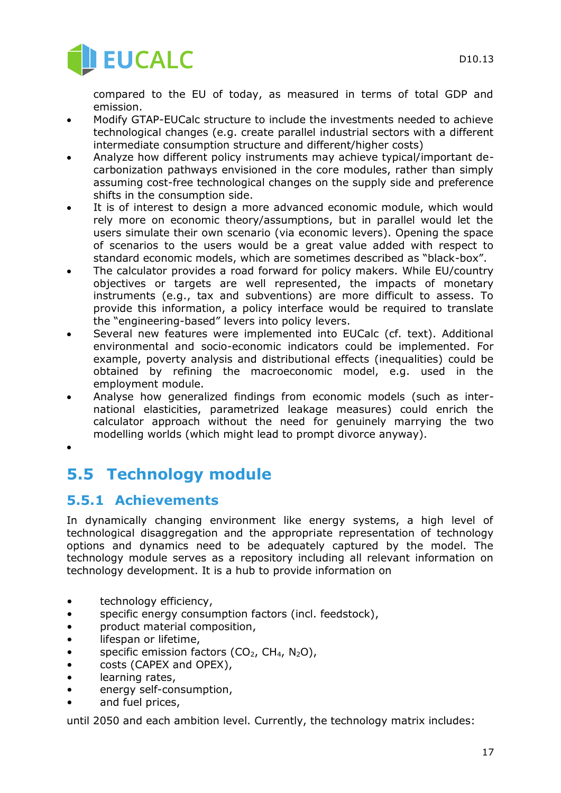

compared to the EU of today, as measured in terms of total GDP and emission.

- Modify GTAP-EUCalc structure to include the investments needed to achieve technological changes (e.g. create parallel industrial sectors with a different intermediate consumption structure and different/higher costs)
- Analyze how different policy instruments may achieve typical/important decarbonization pathways envisioned in the core modules, rather than simply assuming cost-free technological changes on the supply side and preference shifts in the consumption side.
- It is of interest to design a more advanced economic module, which would rely more on economic theory/assumptions, but in parallel would let the users simulate their own scenario (via economic levers). Opening the space of scenarios to the users would be a great value added with respect to standard economic models, which are sometimes described as "black-box".
- The calculator provides a road forward for policy makers. While EU/country objectives or targets are well represented, the impacts of monetary instruments (e.g., tax and subventions) are more difficult to assess. To provide this information, a policy interface would be required to translate the "engineering-based" levers into policy levers.
- Several new features were implemented into EUCalc (cf. text). Additional environmental and socio-economic indicators could be implemented. For example, poverty analysis and distributional effects (inequalities) could be obtained by refining the macroeconomic model, e.g. used in the employment module.
- Analyse how generalized findings from economic models (such as international elasticities, parametrized leakage measures) could enrich the calculator approach without the need for genuinely marrying the two modelling worlds (which might lead to prompt divorce anyway).
- $\bullet$

# **5.5 Technology module**

## **5.5.1 Achievements**

In dynamically changing environment like energy systems, a high level of technological disaggregation and the appropriate representation of technology options and dynamics need to be adequately captured by the model. The technology module serves as a repository including all relevant information on technology development. It is a hub to provide information on

- technology efficiency,
- specific energy consumption factors (incl. feedstock),
- product material composition,
- lifespan or lifetime,
- specific emission factors  $(CO_2, CH_4, N_2O)$ ,
- costs (CAPEX and OPEX),
- learning rates,
- energy self-consumption,
- and fuel prices,

until 2050 and each ambition level. Currently, the technology matrix includes: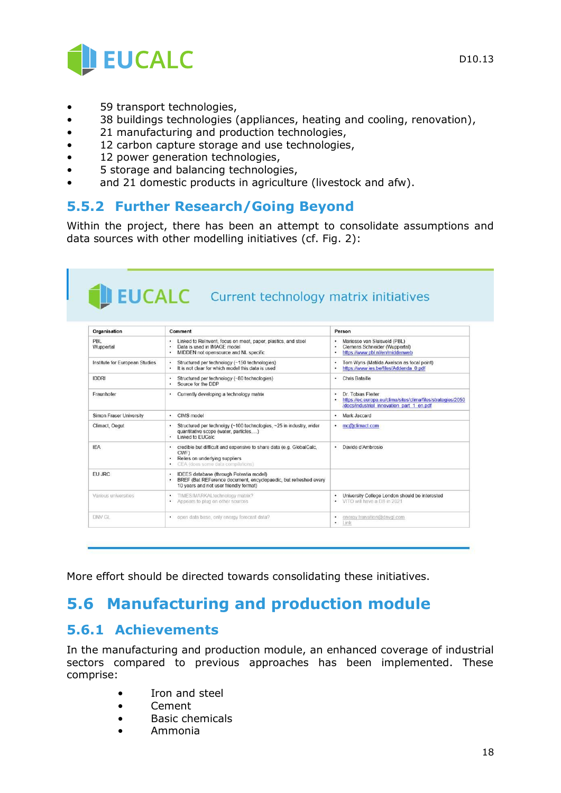

- 59 transport technologies,
- 38 buildings technologies (appliances, heating and cooling, renovation),
- 21 manufacturing and production technologies,
- 12 carbon capture storage and use technologies,
- 12 power generation technologies,
- 5 storage and balancing technologies,
- and 21 domestic products in agriculture (livestock and afw).

#### **5.5.2 Further Research/Going Beyond**

Within the project, there has been an attempt to consolidate assumptions and data sources with other modelling initiatives (cf. Fig. 2):

#### **EUCALC** Current technology matrix initiatives Organisation Comment Person - Linked to ReInvent, focus on meat, paper, plastics, and steel<br>- Data is used in IMAGE model<br>- MIDDEN not opensource and NL specific · Mariesse van Sluisveld (PBL)<br>· Clemens Schneider (Wupperta PBL<br>Wuppertal - Clemens Schneider (wuppertal)<br>- https://www.pbl.nl/en/middenweb • Tom Wyns (Matilda Axelson as focal politics://www.ies.be/files/Addenda 0.pdf • Structured per technology (~150 technologies)<br>• It is not clear for which model this data is used Tom Wyns (Matilda Axelson as focal point) Institute for European Studies • Structured per technology (~80 technologies)<br>• Source for the DDP **IDDRI** • Chris Bataille Dr. Tobias Fleiter<br>https://ec.europa.eu/clima/sites/clima/files/strategies/2050<br>/docs/industrial\_innovation\_part\_1\_en.pdf Fraunhofer • Currently developing a technology matrix Simon Fraser University · CIMS model · Mark Jaccard Structured per technolgy (~100 technologies, ~25 in industry, wider quantitative scope (water, particles,...)<br>
Linked to EUCalc Climact, Oegut • mc@climact.com IEA  $\bullet$ credible but difficult and expensive to share data (e.g. GlobalCalc, · Davide d'Ambrosio CWF) Relies on underlying suppliers EU JRC **IDEES** database (through Potentia model) BREF (Bat REFerence document, encyclopaedic, but refreshed every 10 years and not user friendly format) • University College London should be interested<br>• VITO will have a DB in 2021 Various universities TIMES/MARKALtechnology matrix • TIMES/MARKALtechnology matrix<br>• Appears to plug on other sources · energy.transition@dnvgl.com<br>• Link DNV GL · open data base, only energy forecast data?

More effort should be directed towards consolidating these initiatives.

# **5.6 Manufacturing and production module**

#### **5.6.1 Achievements**

In the manufacturing and production module, an enhanced coverage of industrial sectors compared to previous approaches has been implemented. These comprise:

- Iron and steel
- Cement
- Basic chemicals
- Ammonia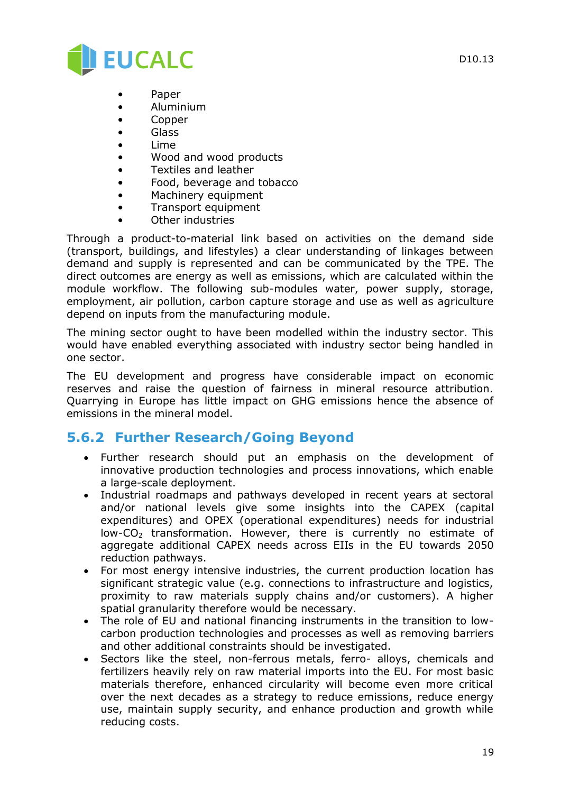

- Paper
- Aluminium
- Copper
- Glass
- Lime
- Wood and wood products
- Textiles and leather
- Food, beverage and tobacco
- Machinery equipment
- Transport equipment
- Other industries

Through a product-to-material link based on activities on the demand side (transport, buildings, and lifestyles) a clear understanding of linkages between demand and supply is represented and can be communicated by the TPE. The direct outcomes are energy as well as emissions, which are calculated within the module workflow. The following sub-modules water, power supply, storage, employment, air pollution, carbon capture storage and use as well as agriculture depend on inputs from the manufacturing module.

The mining sector ought to have been modelled within the industry sector. This would have enabled everything associated with industry sector being handled in one sector.

The EU development and progress have considerable impact on economic reserves and raise the question of fairness in mineral resource attribution. Quarrying in Europe has little impact on GHG emissions hence the absence of emissions in the mineral model.

#### **5.6.2 Further Research/Going Beyond**

- Further research should put an emphasis on the development of innovative production technologies and process innovations, which enable a large-scale deployment.
- Industrial roadmaps and pathways developed in recent years at sectoral and/or national levels give some insights into the CAPEX (capital expenditures) and OPEX (operational expenditures) needs for industrial  $low$ - $CO<sub>2</sub>$  transformation. However, there is currently no estimate of aggregate additional CAPEX needs across EIIs in the EU towards 2050 reduction pathways.
- For most energy intensive industries, the current production location has significant strategic value (e.g. connections to infrastructure and logistics, proximity to raw materials supply chains and/or customers). A higher spatial granularity therefore would be necessary.
- The role of EU and national financing instruments in the transition to lowcarbon production technologies and processes as well as removing barriers and other additional constraints should be investigated.
- Sectors like the steel, non-ferrous metals, ferro- alloys, chemicals and fertilizers heavily rely on raw material imports into the EU. For most basic materials therefore, enhanced circularity will become even more critical over the next decades as a strategy to reduce emissions, reduce energy use, maintain supply security, and enhance production and growth while reducing costs.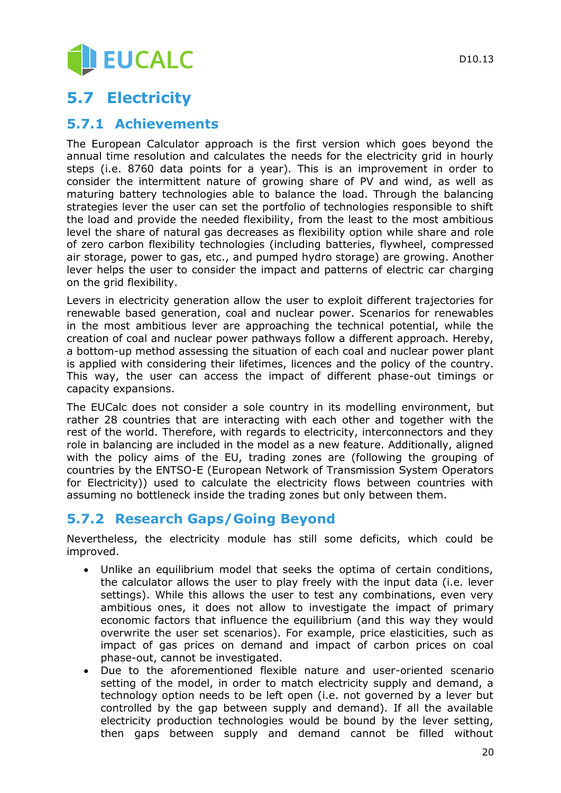# EUCALC

# **5.7 Electricity**

#### **5.7.1 Achievements**

The European Calculator approach is the first version which goes beyond the annual time resolution and calculates the needs for the electricity grid in hourly steps (i.e. 8760 data points for a year). This is an improvement in order to consider the intermittent nature of growing share of PV and wind, as well as maturing battery technologies able to balance the load. Through the balancing strategies lever the user can set the portfolio of technologies responsible to shift the load and provide the needed flexibility, from the least to the most ambitious level the share of natural gas decreases as flexibility option while share and role of zero carbon flexibility technologies (including batteries, flywheel, compressed air storage, power to gas, etc., and pumped hydro storage) are growing. Another lever helps the user to consider the impact and patterns of electric car charging on the grid flexibility.

Levers in electricity generation allow the user to exploit different trajectories for renewable based generation, coal and nuclear power. Scenarios for renewables in the most ambitious lever are approaching the technical potential, while the creation of coal and nuclear power pathways follow a different approach. Hereby, a bottom-up method assessing the situation of each coal and nuclear power plant is applied with considering their lifetimes, licences and the policy of the country. This way, the user can access the impact of different phase-out timings or capacity expansions.

The EUCalc does not consider a sole country in its modelling environment, but rather 28 countries that are interacting with each other and together with the rest of the world. Therefore, with regards to electricity, interconnectors and they role in balancing are included in the model as a new feature. Additionally, aligned with the policy aims of the EU, trading zones are (following the grouping of countries by the ENTSO-E (European Network of Transmission System Operators for Electricity)) used to calculate the electricity flows between countries with assuming no bottleneck inside the trading zones but only between them.

#### **5.7.2 Research Gaps/Going Beyond**

Nevertheless, the electricity module has still some deficits, which could be improved.

- Unlike an equilibrium model that seeks the optima of certain conditions, the calculator allows the user to play freely with the input data (i.e. lever settings). While this allows the user to test any combinations, even very ambitious ones, it does not allow to investigate the impact of primary economic factors that influence the equilibrium (and this way they would overwrite the user set scenarios). For example, price elasticities, such as impact of gas prices on demand and impact of carbon prices on coal phase-out, cannot be investigated.
- Due to the aforementioned flexible nature and user-oriented scenario setting of the model, in order to match electricity supply and demand, a technology option needs to be left open (i.e. not governed by a lever but controlled by the gap between supply and demand). If all the available electricity production technologies would be bound by the lever setting, then gaps between supply and demand cannot be filled without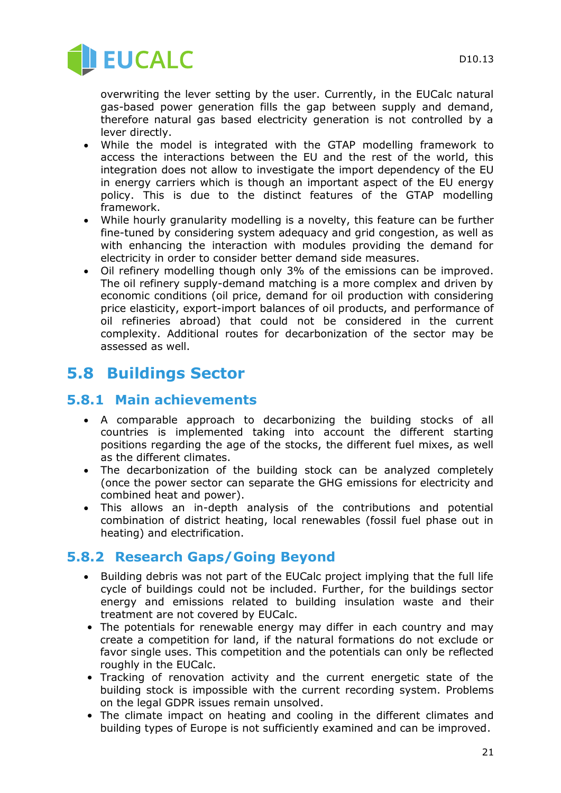

overwriting the lever setting by the user. Currently, in the EUCalc natural gas-based power generation fills the gap between supply and demand, therefore natural gas based electricity generation is not controlled by a lever directly.

- While the model is integrated with the GTAP modelling framework to access the interactions between the EU and the rest of the world, this integration does not allow to investigate the import dependency of the EU in energy carriers which is though an important aspect of the EU energy policy. This is due to the distinct features of the GTAP modelling framework.
- While hourly granularity modelling is a novelty, this feature can be further fine-tuned by considering system adequacy and grid congestion, as well as with enhancing the interaction with modules providing the demand for electricity in order to consider better demand side measures.
- Oil refinery modelling though only 3% of the emissions can be improved. The oil refinery supply-demand matching is a more complex and driven by economic conditions (oil price, demand for oil production with considering price elasticity, export-import balances of oil products, and performance of oil refineries abroad) that could not be considered in the current complexity. Additional routes for decarbonization of the sector may be assessed as well.

# **5.8 Buildings Sector**

#### **5.8.1 Main achievements**

- A comparable approach to decarbonizing the building stocks of all countries is implemented taking into account the different starting positions regarding the age of the stocks, the different fuel mixes, as well as the different climates.
- The decarbonization of the building stock can be analyzed completely (once the power sector can separate the GHG emissions for electricity and combined heat and power).
- This allows an in-depth analysis of the contributions and potential combination of district heating, local renewables (fossil fuel phase out in heating) and electrification.

#### **5.8.2 Research Gaps/Going Beyond**

- Building debris was not part of the EUCalc project implying that the full life cycle of buildings could not be included. Further, for the buildings sector energy and emissions related to building insulation waste and their treatment are not covered by EUCalc.
- The potentials for renewable energy may differ in each country and may create a competition for land, if the natural formations do not exclude or favor single uses. This competition and the potentials can only be reflected roughly in the EUCalc.
- Tracking of renovation activity and the current energetic state of the building stock is impossible with the current recording system. Problems on the legal GDPR issues remain unsolved.
- The climate impact on heating and cooling in the different climates and building types of Europe is not sufficiently examined and can be improved.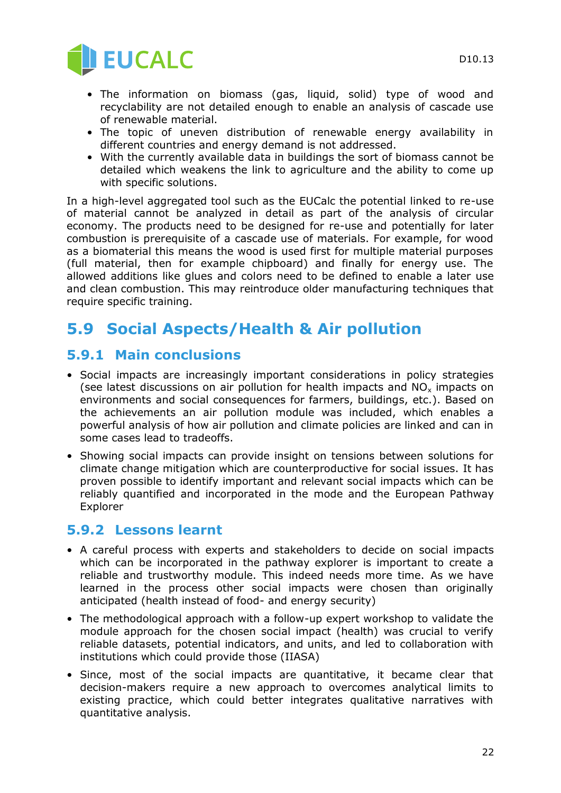

- The information on biomass (gas, liquid, solid) type of wood and recyclability are not detailed enough to enable an analysis of cascade use of renewable material.
- The topic of uneven distribution of renewable energy availability in different countries and energy demand is not addressed.
- With the currently available data in buildings the sort of biomass cannot be detailed which weakens the link to agriculture and the ability to come up with specific solutions.

In a high-level aggregated tool such as the EUCalc the potential linked to re-use of material cannot be analyzed in detail as part of the analysis of circular economy. The products need to be designed for re-use and potentially for later combustion is prerequisite of a cascade use of materials. For example, for wood as a biomaterial this means the wood is used first for multiple material purposes (full material, then for example chipboard) and finally for energy use. The allowed additions like glues and colors need to be defined to enable a later use and clean combustion. This may reintroduce older manufacturing techniques that require specific training.

## **5.9 Social Aspects/Health & Air pollution**

#### **5.9.1 Main conclusions**

- Social impacts are increasingly important considerations in policy strategies (see latest discussions on air pollution for health impacts and  $NO<sub>x</sub>$  impacts on environments and social consequences for farmers, buildings, etc.). Based on the achievements an air pollution module was included, which enables a powerful analysis of how air pollution and climate policies are linked and can in some cases lead to tradeoffs.
- Showing social impacts can provide insight on tensions between solutions for climate change mitigation which are counterproductive for social issues. It has proven possible to identify important and relevant social impacts which can be reliably quantified and incorporated in the mode and the European Pathway Explorer

#### **5.9.2 Lessons learnt**

- A careful process with experts and stakeholders to decide on social impacts which can be incorporated in the pathway explorer is important to create a reliable and trustworthy module. This indeed needs more time. As we have learned in the process other social impacts were chosen than originally anticipated (health instead of food- and energy security)
- The methodological approach with a follow-up expert workshop to validate the module approach for the chosen social impact (health) was crucial to verify reliable datasets, potential indicators, and units, and led to collaboration with institutions which could provide those (IIASA)
- Since, most of the social impacts are quantitative, it became clear that decision-makers require a new approach to overcomes analytical limits to existing practice, which could better integrates qualitative narratives with quantitative analysis.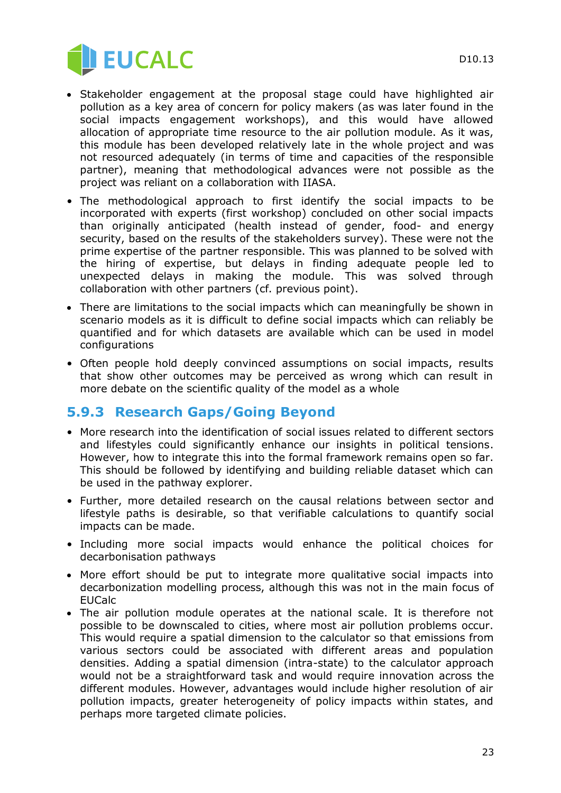

- Stakeholder engagement at the proposal stage could have highlighted air pollution as a key area of concern for policy makers (as was later found in the social impacts engagement workshops), and this would have allowed allocation of appropriate time resource to the air pollution module. As it was, this module has been developed relatively late in the whole project and was not resourced adequately (in terms of time and capacities of the responsible partner), meaning that methodological advances were not possible as the project was reliant on a collaboration with IIASA.
- The methodological approach to first identify the social impacts to be incorporated with experts (first workshop) concluded on other social impacts than originally anticipated (health instead of gender, food- and energy security, based on the results of the stakeholders survey). These were not the prime expertise of the partner responsible. This was planned to be solved with the hiring of expertise, but delays in finding adequate people led to unexpected delays in making the module. This was solved through collaboration with other partners (cf. previous point).
- There are limitations to the social impacts which can meaningfully be shown in scenario models as it is difficult to define social impacts which can reliably be quantified and for which datasets are available which can be used in model configurations
- Often people hold deeply convinced assumptions on social impacts, results that show other outcomes may be perceived as wrong which can result in more debate on the scientific quality of the model as a whole

#### **5.9.3 Research Gaps/Going Beyond**

- More research into the identification of social issues related to different sectors and lifestyles could significantly enhance our insights in political tensions. However, how to integrate this into the formal framework remains open so far. This should be followed by identifying and building reliable dataset which can be used in the pathway explorer.
- Further, more detailed research on the causal relations between sector and lifestyle paths is desirable, so that verifiable calculations to quantify social impacts can be made.
- Including more social impacts would enhance the political choices for decarbonisation pathways
- More effort should be put to integrate more qualitative social impacts into decarbonization modelling process, although this was not in the main focus of EUCalc
- The air pollution module operates at the national scale. It is therefore not possible to be downscaled to cities, where most air pollution problems occur. This would require a spatial dimension to the calculator so that emissions from various sectors could be associated with different areas and population densities. Adding a spatial dimension (intra-state) to the calculator approach would not be a straightforward task and would require innovation across the different modules. However, advantages would include higher resolution of air pollution impacts, greater heterogeneity of policy impacts within states, and perhaps more targeted climate policies.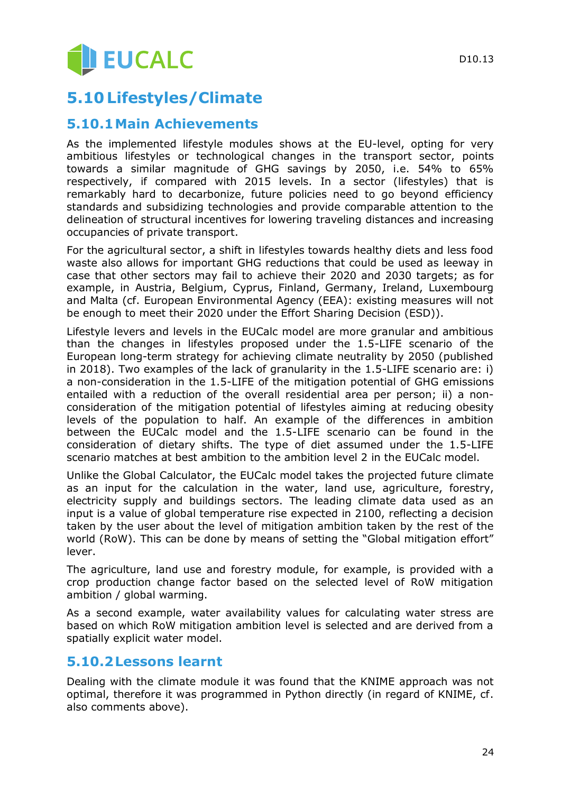# **5.10 Lifestyles/Climate**

#### **5.10.1Main Achievements**

As the implemented lifestyle modules shows at the EU-level, opting for very ambitious lifestyles or technological changes in the transport sector, points towards a similar magnitude of GHG savings by 2050, i.e. 54% to 65% respectively, if compared with 2015 levels. In a sector (lifestyles) that is remarkably hard to decarbonize, future policies need to go beyond efficiency standards and subsidizing technologies and provide comparable attention to the delineation of structural incentives for lowering traveling distances and increasing occupancies of private transport.

For the agricultural sector, a shift in lifestyles towards healthy diets and less food waste also allows for important GHG reductions that could be used as leeway in case that other sectors may fail to achieve their 2020 and 2030 targets; as for example, in Austria, Belgium, Cyprus, Finland, Germany, Ireland, Luxembourg and Malta (cf. European Environmental Agency (EEA): existing measures will not be enough to meet their 2020 under the Effort Sharing Decision (ESD)).

Lifestyle levers and levels in the EUCalc model are more granular and ambitious than the changes in lifestyles proposed under the 1.5-LIFE scenario of the European long-term strategy for achieving climate neutrality by 2050 (published in 2018). Two examples of the lack of granularity in the 1.5-LIFE scenario are: i) a non-consideration in the 1.5-LIFE of the mitigation potential of GHG emissions entailed with a reduction of the overall residential area per person; ii) a nonconsideration of the mitigation potential of lifestyles aiming at reducing obesity levels of the population to half. An example of the differences in ambition between the EUCalc model and the 1.5-LIFE scenario can be found in the consideration of dietary shifts. The type of diet assumed under the 1.5-LIFE scenario matches at best ambition to the ambition level 2 in the EUCalc model.

Unlike the Global Calculator, the EUCalc model takes the projected future climate as an input for the calculation in the water, land use, agriculture, forestry, electricity supply and buildings sectors. The leading climate data used as an input is a value of global temperature rise expected in 2100, reflecting a decision taken by the user about the level of mitigation ambition taken by the rest of the world (RoW). This can be done by means of setting the "Global mitigation effort" lever.

The agriculture, land use and forestry module, for example, is provided with a crop production change factor based on the selected level of RoW mitigation ambition / global warming.

As a second example, water availability values for calculating water stress are based on which RoW mitigation ambition level is selected and are derived from a spatially explicit water model.

#### **5.10.2Lessons learnt**

Dealing with the climate module it was found that the KNIME approach was not optimal, therefore it was programmed in Python directly (in regard of KNIME, cf. also comments above).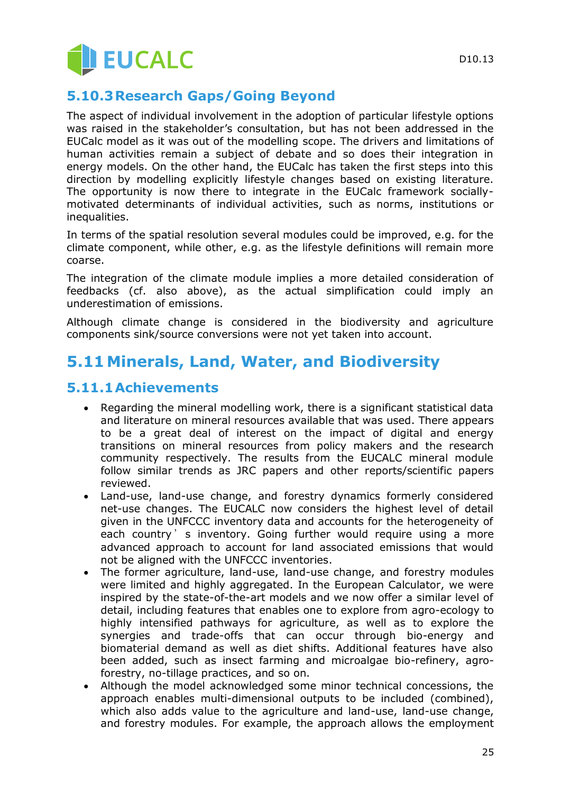

### **5.10.3Research Gaps/Going Beyond**

The aspect of individual involvement in the adoption of particular lifestyle options was raised in the stakeholder's consultation, but has not been addressed in the EUCalc model as it was out of the modelling scope. The drivers and limitations of human activities remain a subject of debate and so does their integration in energy models. On the other hand, the EUCalc has taken the first steps into this direction by modelling explicitly lifestyle changes based on existing literature. The opportunity is now there to integrate in the EUCalc framework sociallymotivated determinants of individual activities, such as norms, institutions or inequalities.

In terms of the spatial resolution several modules could be improved, e.g. for the climate component, while other, e.g. as the lifestyle definitions will remain more coarse.

The integration of the climate module implies a more detailed consideration of feedbacks (cf. also above), as the actual simplification could imply an underestimation of emissions.

Although climate change is considered in the biodiversity and agriculture components sink/source conversions were not yet taken into account.

## **5.11Minerals, Land, Water, and Biodiversity**

#### **5.11.1Achievements**

- Regarding the mineral modelling work, there is a significant statistical data and literature on mineral resources available that was used. There appears to be a great deal of interest on the impact of digital and energy transitions on mineral resources from policy makers and the research community respectively. The results from the EUCALC mineral module follow similar trends as JRC papers and other reports/scientific papers reviewed.
- Land-use, land-use change, and forestry dynamics formerly considered net-use changes. The EUCALC now considers the highest level of detail given in the UNFCCC inventory data and accounts for the heterogeneity of each country's inventory. Going further would require using a more advanced approach to account for land associated emissions that would not be aligned with the UNFCCC inventories.
- The former agriculture, land-use, land-use change, and forestry modules were limited and highly aggregated. In the European Calculator, we were inspired by the state-of-the-art models and we now offer a similar level of detail, including features that enables one to explore from agro-ecology to highly intensified pathways for agriculture, as well as to explore the synergies and trade-offs that can occur through bio-energy and biomaterial demand as well as diet shifts. Additional features have also been added, such as insect farming and microalgae bio-refinery, agroforestry, no-tillage practices, and so on.
- Although the model acknowledged some minor technical concessions, the approach enables multi-dimensional outputs to be included (combined), which also adds value to the agriculture and land-use, land-use change, and forestry modules. For example, the approach allows the employment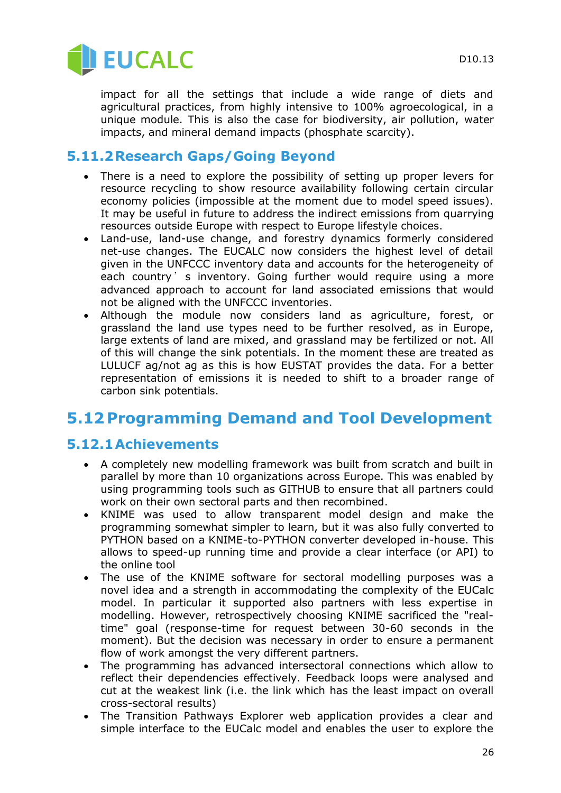

impact for all the settings that include a wide range of diets and agricultural practices, from highly intensive to 100% agroecological, in a unique module. This is also the case for biodiversity, air pollution, water impacts, and mineral demand impacts (phosphate scarcity).

#### **5.11.2Research Gaps/Going Beyond**

- There is a need to explore the possibility of setting up proper levers for resource recycling to show resource availability following certain circular economy policies (impossible at the moment due to model speed issues). It may be useful in future to address the indirect emissions from quarrying resources outside Europe with respect to Europe lifestyle choices.
- Land-use, land-use change, and forestry dynamics formerly considered net-use changes. The EUCALC now considers the highest level of detail given in the UNFCCC inventory data and accounts for the heterogeneity of each country's inventory. Going further would require using a more advanced approach to account for land associated emissions that would not be aligned with the UNFCCC inventories.
- Although the module now considers land as agriculture, forest, or grassland the land use types need to be further resolved, as in Europe, large extents of land are mixed, and grassland may be fertilized or not. All of this will change the sink potentials. In the moment these are treated as LULUCF ag/not ag as this is how EUSTAT provides the data. For a better representation of emissions it is needed to shift to a broader range of carbon sink potentials.

# **5.12 Programming Demand and Tool Development**

#### **5.12.1Achievements**

- A completely new modelling framework was built from scratch and built in parallel by more than 10 organizations across Europe. This was enabled by using programming tools such as GITHUB to ensure that all partners could work on their own sectoral parts and then recombined.
- KNIME was used to allow transparent model design and make the programming somewhat simpler to learn, but it was also fully converted to PYTHON based on a KNIME-to-PYTHON converter developed in-house. This allows to speed-up running time and provide a clear interface (or API) to the online tool
- The use of the KNIME software for sectoral modelling purposes was a novel idea and a strength in accommodating the complexity of the EUCalc model. In particular it supported also partners with less expertise in modelling. However, retrospectively choosing KNIME sacrificed the "realtime" goal (response-time for request between 30-60 seconds in the moment). But the decision was necessary in order to ensure a permanent flow of work amongst the very different partners.
- The programming has advanced intersectoral connections which allow to reflect their dependencies effectively. Feedback loops were analysed and cut at the weakest link (i.e. the link which has the least impact on overall cross-sectoral results)
- The Transition Pathways Explorer web application provides a clear and simple interface to the EUCalc model and enables the user to explore the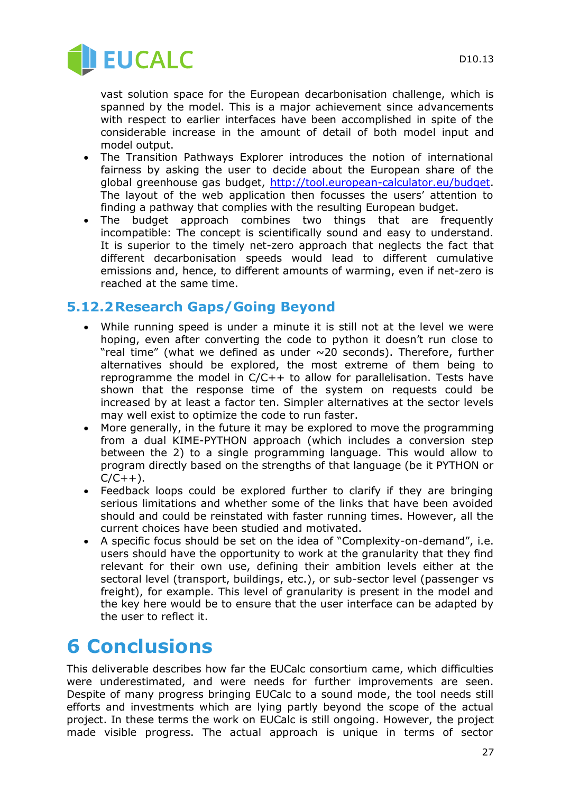

vast solution space for the European decarbonisation challenge, which is spanned by the model. This is a major achievement since advancements with respect to earlier interfaces have been accomplished in spite of the considerable increase in the amount of detail of both model input and model output.

- The Transition Pathways Explorer introduces the notion of international fairness by asking the user to decide about the European share of the global greenhouse gas budget, [http://tool.european-calculator.eu/budget.](http://tool.european-calculator.eu/budget) The layout of the web application then focusses the users' attention to finding a pathway that complies with the resulting European budget.
- The budget approach combines two things that are frequently incompatible: The concept is scientifically sound and easy to understand. It is superior to the timely net-zero approach that neglects the fact that different decarbonisation speeds would lead to different cumulative emissions and, hence, to different amounts of warming, even if net-zero is reached at the same time.

#### **5.12.2Research Gaps/Going Beyond**

- While running speed is under a minute it is still not at the level we were hoping, even after converting the code to python it doesn't run close to "real time" (what we defined as under  $\sim$  20 seconds). Therefore, further alternatives should be explored, the most extreme of them being to reprogramme the model in C/C++ to allow for parallelisation. Tests have shown that the response time of the system on requests could be increased by at least a factor ten. Simpler alternatives at the sector levels may well exist to optimize the code to run faster.
- More generally, in the future it may be explored to move the programming from a dual KIME-PYTHON approach (which includes a conversion step between the 2) to a single programming language. This would allow to program directly based on the strengths of that language (be it PYTHON or  $C/C++$ ).
- Feedback loops could be explored further to clarify if they are bringing serious limitations and whether some of the links that have been avoided should and could be reinstated with faster running times. However, all the current choices have been studied and motivated.
- A specific focus should be set on the idea of "Complexity-on-demand", i.e. users should have the opportunity to work at the granularity that they find relevant for their own use, defining their ambition levels either at the sectoral level (transport, buildings, etc.), or sub-sector level (passenger vs freight), for example. This level of granularity is present in the model and the key here would be to ensure that the user interface can be adapted by the user to reflect it.

# **6 Conclusions**

This deliverable describes how far the EUCalc consortium came, which difficulties were underestimated, and were needs for further improvements are seen. Despite of many progress bringing EUCalc to a sound mode, the tool needs still efforts and investments which are lying partly beyond the scope of the actual project. In these terms the work on EUCalc is still ongoing. However, the project made visible progress. The actual approach is unique in terms of sector